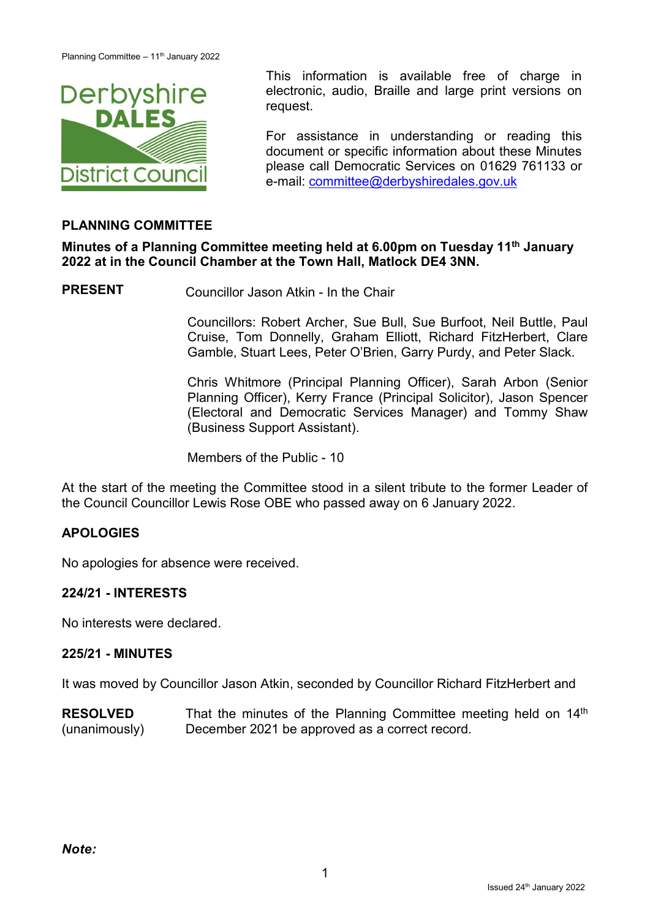

This information is available free of charge in<br> **DEFDVSHIFE** electronic, audio, Braille and large print versions on electronic, audio, Braille and large print versions on request.

> For assistance in understanding or reading this document or specific information about these Minutes please call Democratic Services on 01629 761133 or e-mail: [committee@derbyshiredales.gov.uk](mailto:committee@derbyshiredales.gov.uk)

# **PLANNING COMMITTEE**

**Minutes of a Planning Committee meeting held at 6.00pm on Tuesday 11 th January 2022 at in the Council Chamber at the Town Hall, Matlock DE4 3NN.**

**PRESENT** Councillor Jason Atkin - In the Chair

Councillors: Robert Archer, Sue Bull, Sue Burfoot, Neil Buttle, Paul Cruise, Tom Donnelly, Graham Elliott, Richard FitzHerbert, Clare Gamble, Stuart Lees, Peter O'Brien, Garry Purdy, and Peter Slack.

Chris Whitmore (Principal Planning Officer), Sarah Arbon (Senior Planning Officer), Kerry France (Principal Solicitor), Jason Spencer (Electoral and Democratic Services Manager) and Tommy Shaw (Business Support Assistant).

Members of the Public - 10

At the start of the meeting the Committee stood in a silent tribute to the former Leader of the Council Councillor Lewis Rose OBE who passed away on 6 January 2022.

### **APOLOGIES**

No apologies for absence were received.

#### **224/21 - INTERESTS**

No interests were declared.

### **225/21 - MINUTES**

It was moved by Councillor Jason Atkin, seconded by Councillor Richard FitzHerbert and

**RESOLVED** (unanimously) That the minutes of the Planning Committee meeting held on 14<sup>th</sup> December 2021 be approved as a correct record.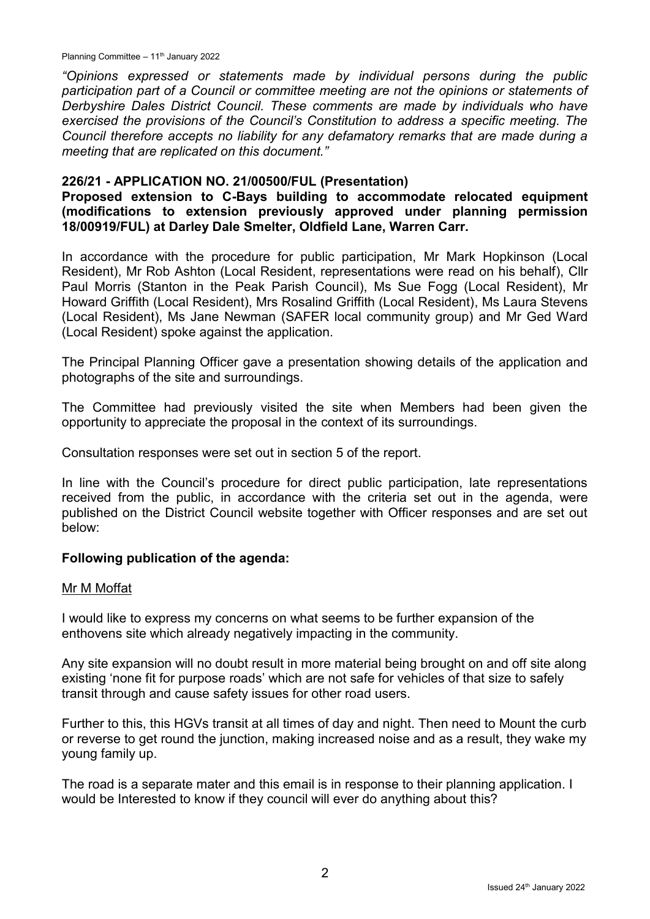Planning Committee – 11<sup>th</sup> January 2022

*"Opinions expressed or statements made by individual persons during the public participation part of a Council or committee meeting are not the opinions or statements of Derbyshire Dales District Council. These comments are made by individuals who have exercised the provisions of the Council's Constitution to address a specific meeting. The Council therefore accepts no liability for any defamatory remarks that are made during a meeting that are replicated on this document."*

### **226/21 - APPLICATION NO. 21/00500/FUL (Presentation)**

#### **Proposed extension to C-Bays building to accommodate relocated equipment (modifications to extension previously approved under planning permission 18/00919/FUL) at Darley Dale Smelter, Oldfield Lane, Warren Carr.**

In accordance with the procedure for public participation, Mr Mark Hopkinson (Local Resident), Mr Rob Ashton (Local Resident, representations were read on his behalf), Cllr Paul Morris (Stanton in the Peak Parish Council), Ms Sue Fogg (Local Resident), Mr Howard Griffith (Local Resident), Mrs Rosalind Griffith (Local Resident), Ms Laura Stevens (Local Resident), Ms Jane Newman (SAFER local community group) and Mr Ged Ward (Local Resident) spoke against the application.

The Principal Planning Officer gave a presentation showing details of the application and photographs of the site and surroundings.

The Committee had previously visited the site when Members had been given the opportunity to appreciate the proposal in the context of its surroundings.

Consultation responses were set out in section 5 of the report.

In line with the Council's procedure for direct public participation, late representations received from the public, in accordance with the criteria set out in the agenda, were published on the District Council website together with Officer responses and are set out below:

### **Following publication of the agenda:**

#### Mr M Moffat

I would like to express my concerns on what seems to be further expansion of the enthovens site which already negatively impacting in the community.

Any site expansion will no doubt result in more material being brought on and off site along existing 'none fit for purpose roads' which are not safe for vehicles of that size to safely transit through and cause safety issues for other road users.

Further to this, this HGVs transit at all times of day and night. Then need to Mount the curb or reverse to get round the junction, making increased noise and as a result, they wake my young family up.

The road is a separate mater and this email is in response to their planning application. I would be Interested to know if they council will ever do anything about this?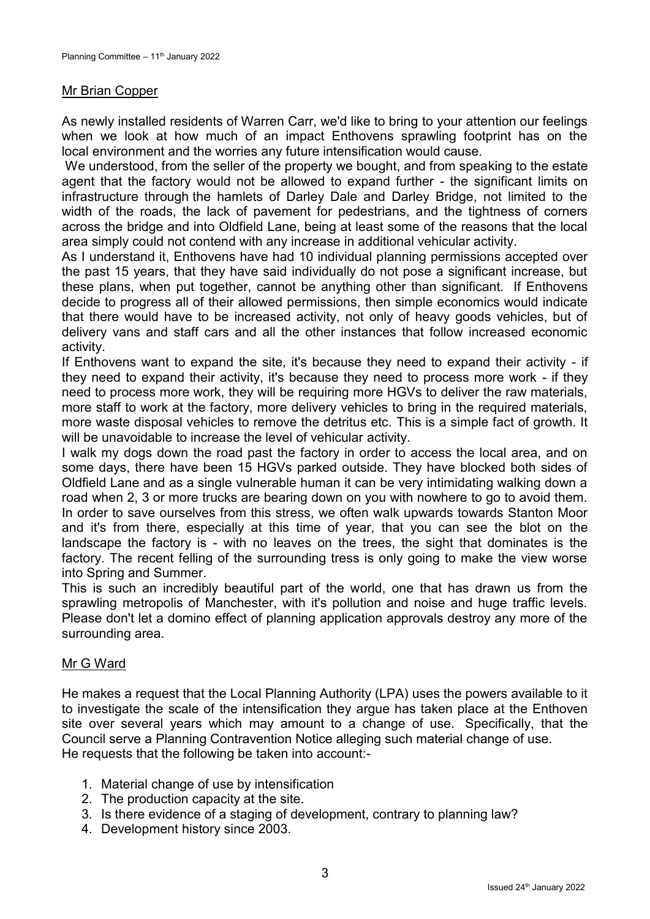#### Mr Brian Copper

As newly installed residents of Warren Carr, we'd like to bring to your attention our feelings when we look at how much of an impact Enthovens sprawling footprint has on the local environment and the worries any future intensification would cause.

We understood, from the seller of the property we bought, and from speaking to the estate agent that the factory would not be allowed to expand further - the significant limits on infrastructure through the hamlets of Darley Dale and Darley Bridge, not limited to the width of the roads, the lack of pavement for pedestrians, and the tightness of corners across the bridge and into Oldfield Lane, being at least some of the reasons that the local area simply could not contend with any increase in additional vehicular activity.

As I understand it, Enthovens have had 10 individual planning permissions accepted over the past 15 years, that they have said individually do not pose a significant increase, but these plans, when put together, cannot be anything other than significant. If Enthovens decide to progress all of their allowed permissions, then simple economics would indicate that there would have to be increased activity, not only of heavy goods vehicles, but of delivery vans and staff cars and all the other instances that follow increased economic activity.

If Enthovens want to expand the site, it's because they need to expand their activity - if they need to expand their activity, it's because they need to process more work - if they need to process more work, they will be requiring more HGVs to deliver the raw materials, more staff to work at the factory, more delivery vehicles to bring in the required materials, more waste disposal vehicles to remove the detritus etc. This is a simple fact of growth. It will be unavoidable to increase the level of vehicular activity.

I walk my dogs down the road past the factory in order to access the local area, and on some days, there have been 15 HGVs parked outside. They have blocked both sides of Oldfield Lane and as a single vulnerable human it can be very intimidating walking down a road when 2, 3 or more trucks are bearing down on you with nowhere to go to avoid them. In order to save ourselves from this stress, we often walk upwards towards Stanton Moor and it's from there, especially at this time of year, that you can see the blot on the landscape the factory is - with no leaves on the trees, the sight that dominates is the factory. The recent felling of the surrounding tress is only going to make the view worse into Spring and Summer.

This is such an incredibly beautiful part of the world, one that has drawn us from the sprawling metropolis of Manchester, with it's pollution and noise and huge traffic levels. Please don't let a domino effect of planning application approvals destroy any more of the surrounding area.

### Mr G Ward

He makes a request that the Local Planning Authority (LPA) uses the powers available to it to investigate the scale of the intensification they argue has taken place at the Enthoven site over several years which may amount to a change of use. Specifically, that the Council serve a Planning Contravention Notice alleging such material change of use. He requests that the following be taken into account:-

- 1. Material change of use by intensification
- 2. The production capacity at the site.
- 3. Is there evidence of a staging of development, contrary to planning law?
- 4. Development history since 2003.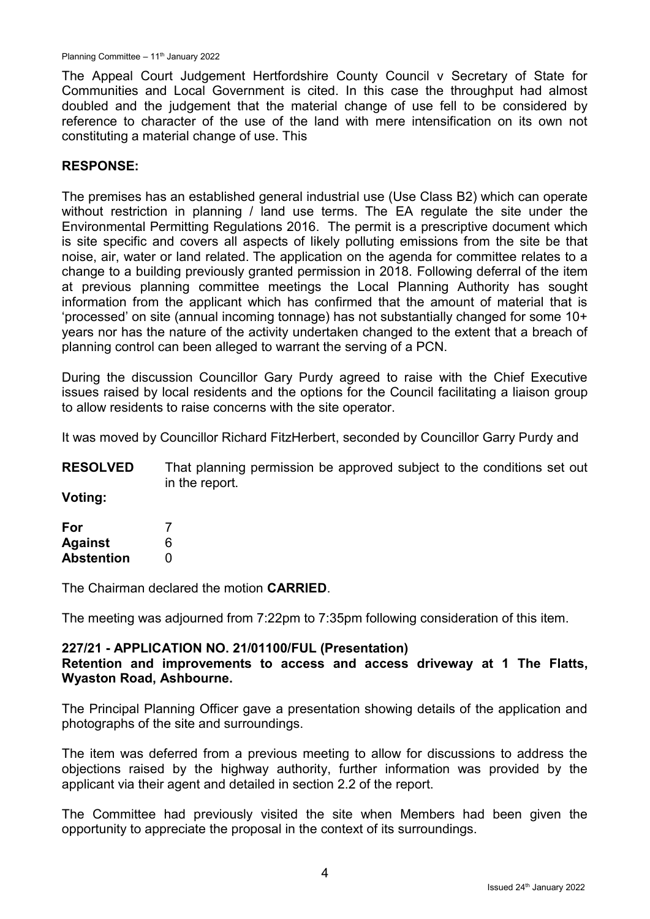The Appeal Court Judgement Hertfordshire County Council v Secretary of State for Communities and Local Government is cited. In this case the throughput had almost doubled and the judgement that the material change of use fell to be considered by reference to character of the use of the land with mere intensification on its own not constituting a material change of use. This

## **RESPONSE:**

The premises has an established general industrial use (Use Class B2) which can operate without restriction in planning / land use terms. The EA regulate the site under the Environmental Permitting Regulations 2016. The permit is a prescriptive document which is site specific and covers all aspects of likely polluting emissions from the site be that noise, air, water or land related. The application on the agenda for committee relates to a change to a building previously granted permission in 2018. Following deferral of the item at previous planning committee meetings the Local Planning Authority has sought information from the applicant which has confirmed that the amount of material that is 'processed' on site (annual incoming tonnage) has not substantially changed for some 10+ years nor has the nature of the activity undertaken changed to the extent that a breach of planning control can been alleged to warrant the serving of a PCN.

During the discussion Councillor Gary Purdy agreed to raise with the Chief Executive issues raised by local residents and the options for the Council facilitating a liaison group to allow residents to raise concerns with the site operator.

It was moved by Councillor Richard FitzHerbert, seconded by Councillor Garry Purdy and

| <b>RESOLVED</b> | That planning permission be approved subject to the conditions set out |
|-----------------|------------------------------------------------------------------------|
|                 | in the report.                                                         |

**Voting:**

| For               |   |
|-------------------|---|
| <b>Against</b>    | 6 |
| <b>Abstention</b> | O |

The Chairman declared the motion **CARRIED**.

The meeting was adjourned from 7:22pm to 7:35pm following consideration of this item.

### **227/21 - APPLICATION NO. 21/01100/FUL (Presentation)**

### **Retention and improvements to access and access driveway at 1 The Flatts, Wyaston Road, Ashbourne.**

The Principal Planning Officer gave a presentation showing details of the application and photographs of the site and surroundings.

The item was deferred from a previous meeting to allow for discussions to address the objections raised by the highway authority, further information was provided by the applicant via their agent and detailed in section 2.2 of the report.

The Committee had previously visited the site when Members had been given the opportunity to appreciate the proposal in the context of its surroundings.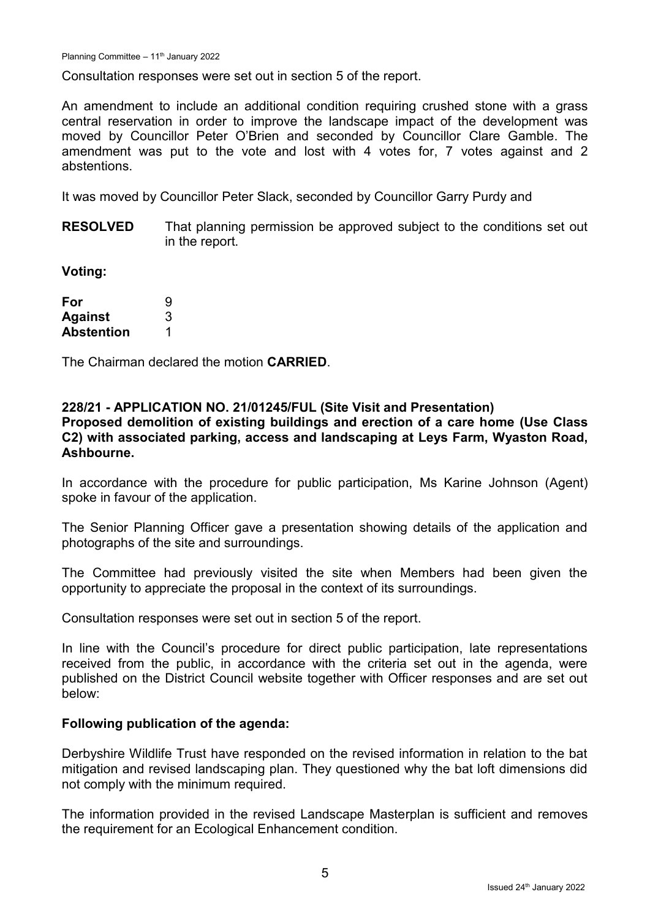Consultation responses were set out in section 5 of the report.

An amendment to include an additional condition requiring crushed stone with a grass central reservation in order to improve the landscape impact of the development was moved by Councillor Peter O'Brien and seconded by Councillor Clare Gamble. The amendment was put to the vote and lost with 4 votes for, 7 votes against and 2 abstentions.

It was moved by Councillor Peter Slack, seconded by Councillor Garry Purdy and

**RESOLVED** That planning permission be approved subject to the conditions set out in the report.

**Voting:**

| For               | 9 |
|-------------------|---|
| <b>Against</b>    | 3 |
| <b>Abstention</b> |   |

The Chairman declared the motion **CARRIED**.

#### **228/21 - APPLICATION NO. 21/01245/FUL (Site Visit and Presentation)**

**Proposed demolition of existing buildings and erection of a care home (Use Class C2) with associated parking, access and landscaping at Leys Farm, Wyaston Road, Ashbourne.**

In accordance with the procedure for public participation, Ms Karine Johnson (Agent) spoke in favour of the application.

The Senior Planning Officer gave a presentation showing details of the application and photographs of the site and surroundings.

The Committee had previously visited the site when Members had been given the opportunity to appreciate the proposal in the context of its surroundings.

Consultation responses were set out in section 5 of the report.

In line with the Council's procedure for direct public participation, late representations received from the public, in accordance with the criteria set out in the agenda, were published on the District Council website together with Officer responses and are set out below:

#### **Following publication of the agenda:**

Derbyshire Wildlife Trust have responded on the revised information in relation to the bat mitigation and revised landscaping plan. They questioned why the bat loft dimensions did not comply with the minimum required.

The information provided in the revised Landscape Masterplan is sufficient and removes the requirement for an Ecological Enhancement condition.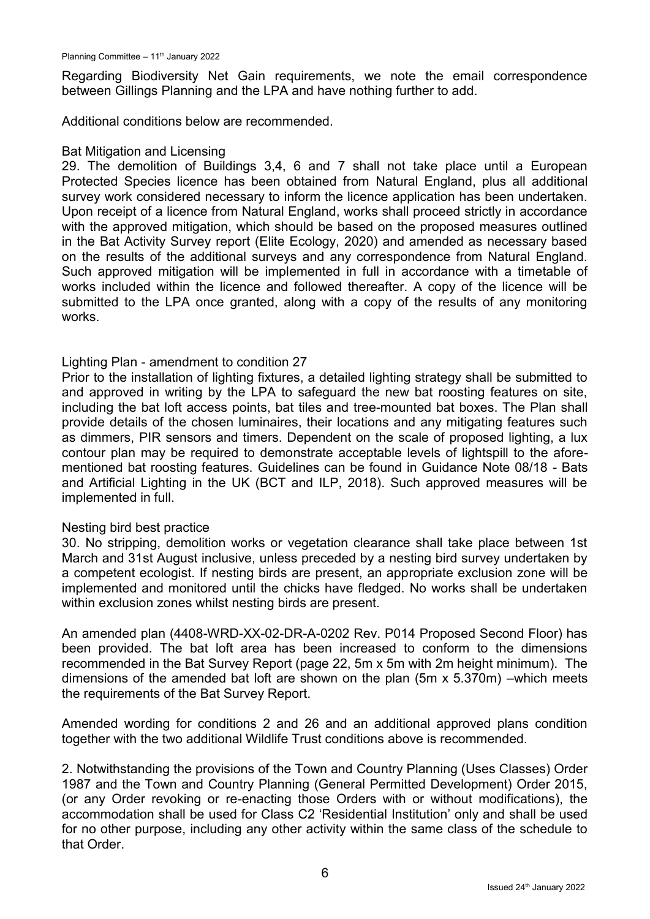Regarding Biodiversity Net Gain requirements, we note the email correspondence between Gillings Planning and the LPA and have nothing further to add.

Additional conditions below are recommended.

#### Bat Mitigation and Licensing

29. The demolition of Buildings 3,4, 6 and 7 shall not take place until a European Protected Species licence has been obtained from Natural England, plus all additional survey work considered necessary to inform the licence application has been undertaken. Upon receipt of a licence from Natural England, works shall proceed strictly in accordance with the approved mitigation, which should be based on the proposed measures outlined in the Bat Activity Survey report (Elite Ecology, 2020) and amended as necessary based on the results of the additional surveys and any correspondence from Natural England. Such approved mitigation will be implemented in full in accordance with a timetable of works included within the licence and followed thereafter. A copy of the licence will be submitted to the LPA once granted, along with a copy of the results of any monitoring works.

#### Lighting Plan - amendment to condition 27

Prior to the installation of lighting fixtures, a detailed lighting strategy shall be submitted to and approved in writing by the LPA to safeguard the new bat roosting features on site, including the bat loft access points, bat tiles and tree-mounted bat boxes. The Plan shall provide details of the chosen luminaires, their locations and any mitigating features such as dimmers, PIR sensors and timers. Dependent on the scale of proposed lighting, a lux contour plan may be required to demonstrate acceptable levels of lightspill to the aforementioned bat roosting features. Guidelines can be found in Guidance Note 08/18 - Bats and Artificial Lighting in the UK (BCT and ILP, 2018). Such approved measures will be implemented in full.

#### Nesting bird best practice

30. No stripping, demolition works or vegetation clearance shall take place between 1st March and 31st August inclusive, unless preceded by a nesting bird survey undertaken by a competent ecologist. If nesting birds are present, an appropriate exclusion zone will be implemented and monitored until the chicks have fledged. No works shall be undertaken within exclusion zones whilst nesting birds are present.

An amended plan (4408-WRD-XX-02-DR-A-0202 Rev. P014 Proposed Second Floor) has been provided. The bat loft area has been increased to conform to the dimensions recommended in the Bat Survey Report (page 22, 5m x 5m with 2m height minimum). The dimensions of the amended bat loft are shown on the plan (5m x 5.370m) –which meets the requirements of the Bat Survey Report.

Amended wording for conditions 2 and 26 and an additional approved plans condition together with the two additional Wildlife Trust conditions above is recommended.

2. Notwithstanding the provisions of the Town and Country Planning (Uses Classes) Order 1987 and the Town and Country Planning (General Permitted Development) Order 2015, (or any Order revoking or re-enacting those Orders with or without modifications), the accommodation shall be used for Class C2 'Residential Institution' only and shall be used for no other purpose, including any other activity within the same class of the schedule to that Order.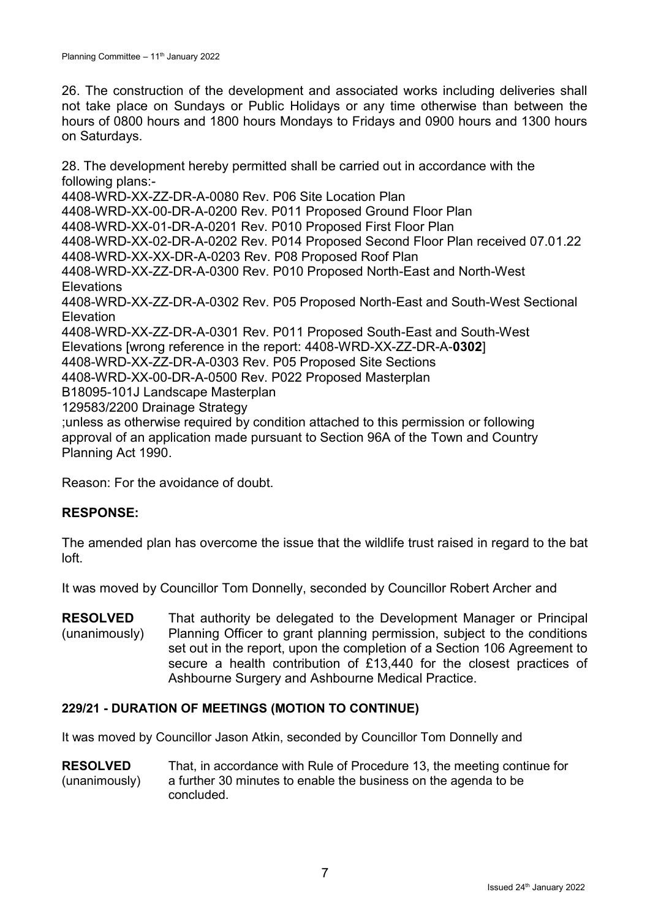26. The construction of the development and associated works including deliveries shall not take place on Sundays or Public Holidays or any time otherwise than between the hours of 0800 hours and 1800 hours Mondays to Fridays and 0900 hours and 1300 hours on Saturdays.

28. The development hereby permitted shall be carried out in accordance with the following plans:- 4408-WRD-XX-ZZ-DR-A-0080 Rev. P06 Site Location Plan 4408-WRD-XX-00-DR-A-0200 Rev. P011 Proposed Ground Floor Plan 4408-WRD-XX-01-DR-A-0201 Rev. P010 Proposed First Floor Plan 4408-WRD-XX-02-DR-A-0202 Rev. P014 Proposed Second Floor Plan received 07.01.22 4408-WRD-XX-XX-DR-A-0203 Rev. P08 Proposed Roof Plan 4408-WRD-XX-ZZ-DR-A-0300 Rev. P010 Proposed North-East and North-West **Elevations** 4408-WRD-XX-ZZ-DR-A-0302 Rev. P05 Proposed North-East and South-West Sectional Elevation 4408-WRD-XX-ZZ-DR-A-0301 Rev. P011 Proposed South-East and South-West Elevations [wrong reference in the report: 4408-WRD-XX-ZZ-DR-A-**0302**] 4408-WRD-XX-ZZ-DR-A-0303 Rev. P05 Proposed Site Sections 4408-WRD-XX-00-DR-A-0500 Rev. P022 Proposed Masterplan B18095-101J Landscape Masterplan 129583/2200 Drainage Strategy ;unless as otherwise required by condition attached to this permission or following approval of an application made pursuant to Section 96A of the Town and Country Planning Act 1990.

Reason: For the avoidance of doubt.

### **RESPONSE:**

The amended plan has overcome the issue that the wildlife trust raised in regard to the bat  $I \cap \mathsf{ft}$ 

It was moved by Councillor Tom Donnelly, seconded by Councillor Robert Archer and

**RESOLVED** (unanimously) That authority be delegated to the Development Manager or Principal Planning Officer to grant planning permission, subject to the conditions set out in the report, upon the completion of a Section 106 Agreement to secure a health contribution of £13,440 for the closest practices of Ashbourne Surgery and Ashbourne Medical Practice.

### **229/21 - DURATION OF MEETINGS (MOTION TO CONTINUE)**

It was moved by Councillor Jason Atkin, seconded by Councillor Tom Donnelly and

**RESOLVED**  (unanimously) That, in accordance with Rule of Procedure 13, the meeting continue for a further 30 minutes to enable the business on the agenda to be concluded.